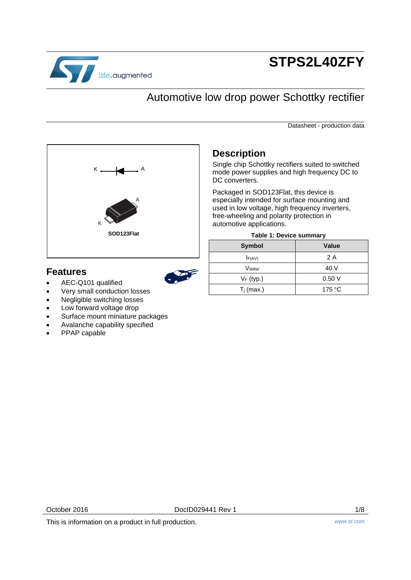

# **STPS2L40ZFY**

# Automotive low drop power Schottky rectifier

Datasheet - production data



# **Features**



## especially intended for surface mounting and used in low voltage, high frequency inverters,

**Description**

DC converters.

free-wheeling and polarity protection in automotive applications.

Packaged in SOD123Flat, this device is

|  | Table 1: Device summary |
|--|-------------------------|
|  |                         |

Single chip Schottky rectifiers suited to switched mode power supplies and high frequency DC to

| <b>Symbol</b> | Value  |
|---------------|--------|
| F(AV)         | 2 A    |
| Vrrm          | 40 V   |
| $V_F$ (typ.)  | 0.50V  |
| $T_j$ (max.)  | 175 °C |

- AEC-Q101 qualified
- Very small conduction losses
- Negligible switching losses
- Low forward voltage drop
- Surface mount miniature packages
- Avalanche capability specified
- PPAP capable

October 2016 **DocID029441 Rev 1** 1/8

This is information on a product in full production. *www.st.com*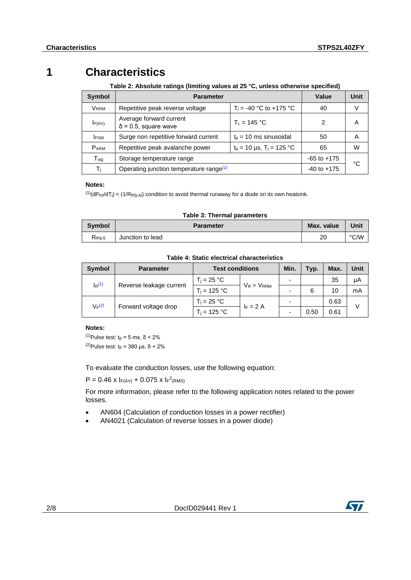# **1 Characteristics**

**Table 2: Absolute ratings (limiting values at 25 °C, unless otherwise specified)**

| Symbol                      | <b>Parameter</b>                                                                       | Value           | <b>Unit</b>     |    |
|-----------------------------|----------------------------------------------------------------------------------------|-----------------|-----------------|----|
| <b>VRRM</b>                 | $T_i = -40$ °C to +175 °C<br>Repetitive peak reverse voltage                           |                 | 40              | V  |
| IF(AV)                      | Average forward current<br>$\delta$ = 0.5, square wave                                 | $T_1 = 145 °C$  | 2               | Α  |
| <b>IFSM</b>                 | Surge non repetitive forward current<br>$tp$ = 10 ms sinusoidal                        |                 | 50              | A  |
| <b>PARM</b>                 | $t_p = 10 \,\mu s$ , $T_i = 125 \,^{\circ}\text{C}$<br>Repetitive peak avalanche power |                 | 65              | W  |
| $\mathsf{T}_{\mathsf{stq}}$ | Storage temperature range                                                              |                 | $-65$ to $+175$ | °C |
| $T_{j}$                     | Operating junction temperature range <sup>(1)</sup>                                    | $-40$ to $+175$ |                 |    |

### **Notes:**

<span id="page-1-0"></span> $(1)(dP_{tot}/dT_j) < (1/R_{th(j-a)})$  condition to avoid thermal runaway for a diode on its own heatsink.

### **Table 3: Thermal parameters**

| <b>Symbol</b> | <b>Parameter</b> | Max. value | Unit |
|---------------|------------------|------------|------|
| $R_{th(i-l)}$ | Junction to lead | 20         | °C/W |

| <b>Symbol</b>           | <b>Parameter</b>     | <b>Test conditions</b> |                 | Min. | Typ. | Max. | Unit |
|-------------------------|----------------------|------------------------|-----------------|------|------|------|------|
| $I_R(1)$                |                      | $T_i = 25 °C$          | $V_R = V_{RRM}$ |      |      | 35   | μA   |
| Reverse leakage current |                      | $T_i = 125 °C$         |                 |      | 6    | 10   | mA   |
| $V_F(2)$                |                      |                        |                 |      |      | 0.63 |      |
|                         | Forward voltage drop | $T_i = 125 °C$         | $F = 2A$        |      | 0.50 | 0.61 | V    |

**Table 4: Static electrical characteristics**

### **Notes:**

<span id="page-1-2"></span><span id="page-1-1"></span> $(1)$ Pulse test: t<sub>p</sub> = 5 ms, δ < 2% <sup>(2)</sup>Pulse test:  $t_p$  = 380 μs, δ < 2%

To evaluate the conduction losses, use the following equation:

 $P = 0.46$  x  $F(AV) + 0.075$  x  $F^{2}(RMS)$ 

For more information, please refer to the following application notes related to the power losses.

- AN604 (Calculation of conduction losses in a power rectifier)
- AN4021 (Calculation of reverse losses in a power diode)

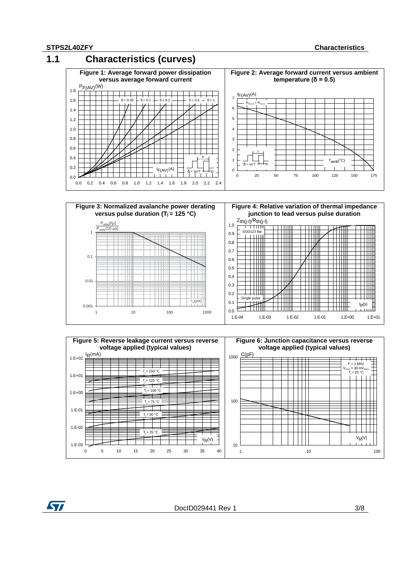**ST** 







DocID029441 Rev 1 3/8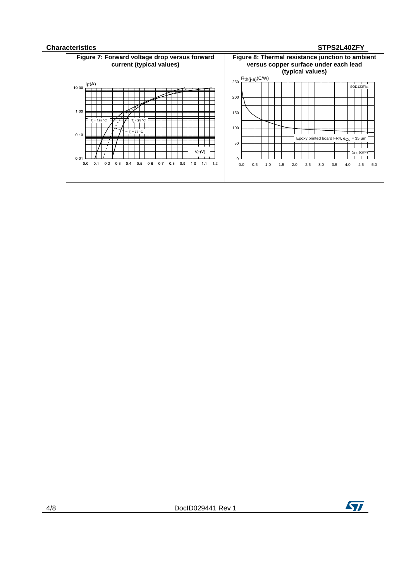## **Characteristics STPS2L40ZFY**





4/8 DocID029441 Rev 1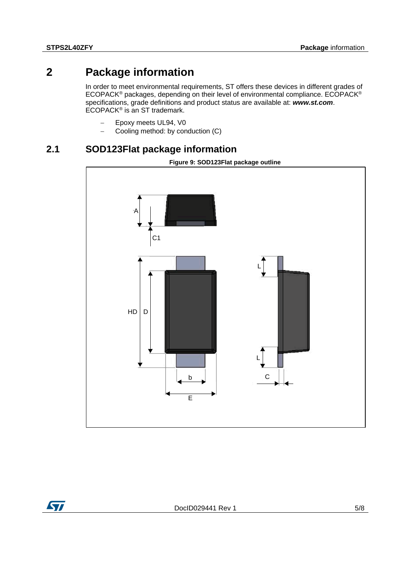# **2 Package information**

In order to meet environmental requirements, ST offers these devices in different grades of ECOPACK® packages, depending on their level of environmental compliance. ECOPACK® specifications, grade definitions and product status are available at: *www.st.com*. ECOPACK® is an ST trademark.

- Epoxy meets UL94, V0
- Cooling method: by conduction (C)

## **2.1 SOD123Flat package information**





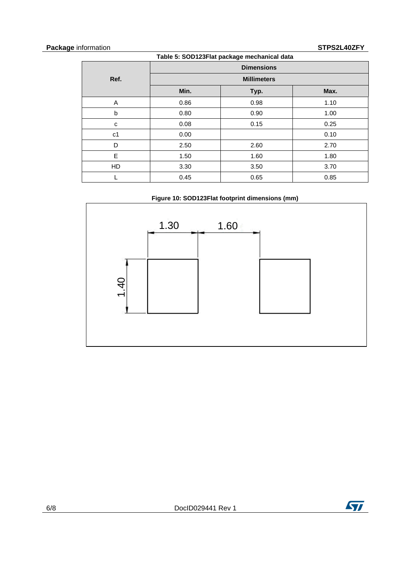## **Package** information **STPS2L40ZFY**

| Table 5: SOD123Flat package mechanical data |                    |      |      |  |  |
|---------------------------------------------|--------------------|------|------|--|--|
|                                             | <b>Dimensions</b>  |      |      |  |  |
| Ref.                                        | <b>Millimeters</b> |      |      |  |  |
|                                             | Min.               | Typ. | Max. |  |  |
| A                                           | 0.86               | 0.98 | 1.10 |  |  |
| b                                           | 0.80               | 0.90 | 1.00 |  |  |
| C                                           | 0.08               | 0.15 | 0.25 |  |  |
| c <sub>1</sub>                              | 0.00               |      | 0.10 |  |  |
| D                                           | 2.50               | 2.60 | 2.70 |  |  |
| E                                           | 1.50               | 1.60 | 1.80 |  |  |
| HD                                          | 3.30               | 3.50 | 3.70 |  |  |
|                                             | 0.45               | 0.65 | 0.85 |  |  |





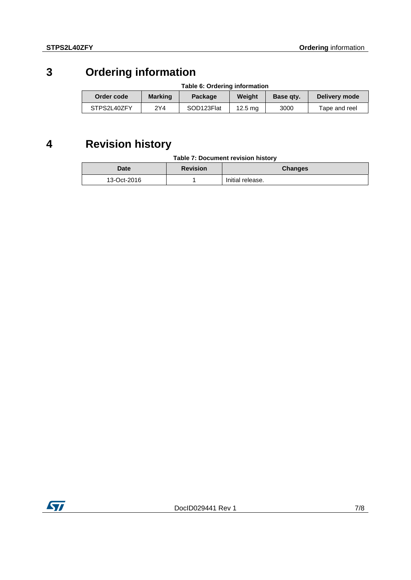# **3 Ordering information**

| Table 6: Ordering information                                         |     |            |                    |               |               |
|-----------------------------------------------------------------------|-----|------------|--------------------|---------------|---------------|
| <b>Marking</b><br>Weight<br>Order code<br>Package<br><b>Base gty.</b> |     |            |                    | Delivery mode |               |
| STPS2L40ZFY                                                           | 2Y4 | SOD123Flat | 12.5 <sub>ma</sub> | 3000          | Tape and reel |

# **4 Revision history**

| Table 7: Document revision history |  |
|------------------------------------|--|
|                                    |  |

| Date        | <b>Revision</b> | <b>Changes</b>   |
|-------------|-----------------|------------------|
| 13-Oct-2016 |                 | Initial release. |